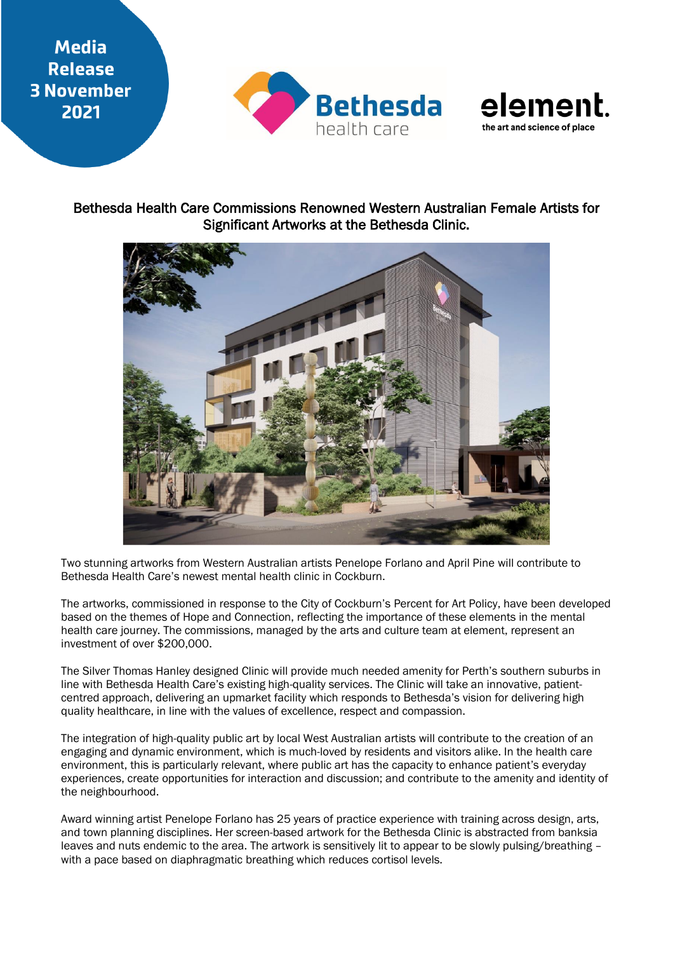## **Media Release 3 November** 2021





## Bethesda Health Care Commissions Renowned Western Australian Female Artists for Significant Artworks at the Bethesda Clinic.



Two stunning artworks from Western Australian artists Penelope Forlano and April Pine will contribute to Bethesda Health Care's newest mental health clinic in Cockburn.

The artworks, commissioned in response to the City of Cockburn's Percent for Art Policy, have been developed based on the themes of Hope and Connection, reflecting the importance of these elements in the mental health care journey. The commissions, managed by the arts and culture team at element, represent an investment of over \$200,000.

The Silver Thomas Hanley designed Clinic will provide much needed amenity for Perth's southern suburbs in line with Bethesda Health Care's existing high-quality services. The Clinic will take an innovative, patientcentred approach, delivering an upmarket facility which responds to Bethesda's vision for delivering high quality healthcare, in line with the values of excellence, respect and compassion.

The integration of high-quality public art by local West Australian artists will contribute to the creation of an engaging and dynamic environment, which is much-loved by residents and visitors alike. In the health care environment, this is particularly relevant, where public art has the capacity to enhance patient's everyday experiences, create opportunities for interaction and discussion; and contribute to the amenity and identity of the neighbourhood.

Award winning artist Penelope Forlano has 25 years of practice experience with training across design, arts, and town planning disciplines. Her screen-based artwork for the Bethesda Clinic is abstracted from banksia leaves and nuts endemic to the area. The artwork is sensitively lit to appear to be slowly pulsing/breathing – with a pace based on diaphragmatic breathing which reduces cortisol levels.